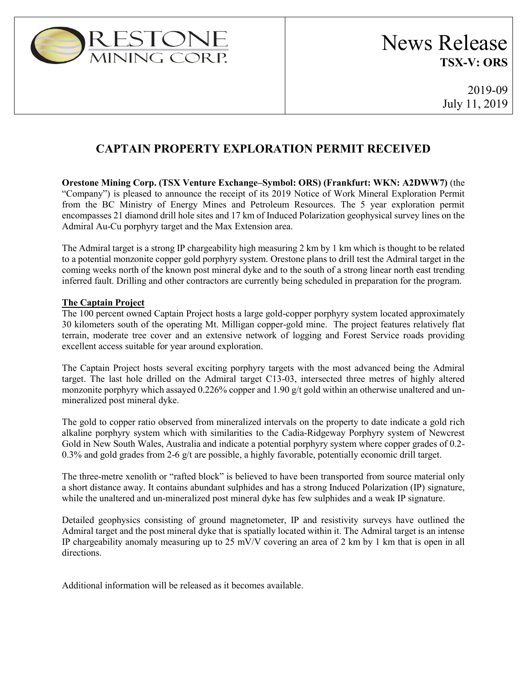

## **CAPTAIN PROPERTY EXPLORATION PERMIT RECEIVED**

**Orestone Mining Corp. (TSX Venture Exchange–Symbol: ORS) (Frankfurt: WKN: A2DWW7)** (the "Company") is pleased to announce the receipt of its 2019 Notice of Work Mineral Exploration Permit from the BC Ministry of Energy Mines and Petroleum Resources. The 5 year exploration permit encompasses 21 diamond drill hole sites and 17 km of Induced Polarization geophysical survey lines on the Admiral Au-Cu porphyry target and the Max Extension area.

The Admiral target is a strong IP chargeability high measuring 2 km by 1 km which is thought to be related to a potential monzonite copper gold porphyry system. Orestone plans to drill test the Admiral target in the coming weeks north of the known post mineral dyke and to the south of a strong linear north east trending inferred fault. Drilling and other contractors are currently being scheduled in preparation for the program.

## **The Captain Project**

The 100 percent owned Captain Project hosts a large gold-copper porphyry system located approximately 30 kilometers south of the operating Mt. Milligan copper-gold mine. The project features relatively flat terrain, moderate tree cover and an extensive network of logging and Forest Service roads providing excellent access suitable for year around exploration.

The Captain Project hosts several exciting porphyry targets with the most advanced being the Admiral target. The last hole drilled on the Admiral target C13-03, intersected three metres of highly altered monzonite porphyry which assayed 0.226% copper and 1.90 g/t gold within an otherwise unaltered and unmineralized post mineral dyke.

The gold to copper ratio observed from mineralized intervals on the property to date indicate a gold rich alkaline porphyry system which with similarities to the Cadia-Ridgeway Porphyry system of Newcrest Gold in New South Wales, Australia and indicate a potential porphyry system where copper grades of 0.2- 0.3% and gold grades from 2-6 g/t are possible, a highly favorable, potentially economic drill target.

The three-metre xenolith or "rafted block" is believed to have been transported from source material only a short distance away. It contains abundant sulphides and has a strong Induced Polarization (IP) signature, while the unaltered and un-mineralized post mineral dyke has few sulphides and a weak IP signature.

Detailed geophysics consisting of ground magnetometer, IP and resistivity surveys have outlined the Admiral target and the post mineral dyke that is spatially located within it. The Admiral target is an intense IP chargeability anomaly measuring up to 25 mV/V covering an area of 2 km by 1 km that is open in all directions.

Additional information will be released as it becomes available.